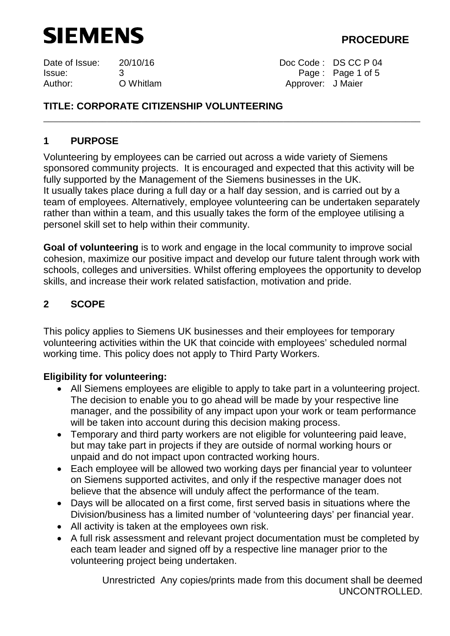

Date of Issue: 20/10/16 Doc Code : DS CC P 04 Issue: 3 Page : Page 1 of 5 Author: O Whitlam **Author:** O Whitlam Approver: J Maier

# **TITLE: CORPORATE CITIZENSHIP VOLUNTEERING**

## **1 PURPOSE**

Volunteering by employees can be carried out across a wide variety of Siemens sponsored community projects. It is encouraged and expected that this activity will be fully supported by the Management of the Siemens businesses in the UK. It usually takes place during a full day or a half day session, and is carried out by a team of employees. Alternatively, employee volunteering can be undertaken separately rather than within a team, and this usually takes the form of the employee utilising a personel skill set to help within their community.

\_\_\_\_\_\_\_\_\_\_\_\_\_\_\_\_\_\_\_\_\_\_\_\_\_\_\_\_\_\_\_\_\_\_\_\_\_\_\_\_\_\_\_\_\_\_\_\_\_\_\_\_\_\_\_\_\_\_\_\_\_\_\_\_\_\_\_\_\_\_\_\_\_\_\_\_\_

**Goal of volunteering** is to work and engage in the local community to improve social cohesion, maximize our positive impact and develop our future talent through work with schools, colleges and universities. Whilst offering employees the opportunity to develop skills, and increase their work related satisfaction, motivation and pride.

## **2 SCOPE**

This policy applies to Siemens UK businesses and their employees for temporary volunteering activities within the UK that coincide with employees' scheduled normal working time. This policy does not apply to Third Party Workers.

## **Eligibility for volunteering:**

- All Siemens employees are eligible to apply to take part in a volunteering project. The decision to enable you to go ahead will be made by your respective line manager, and the possibility of any impact upon your work or team performance will be taken into account during this decision making process.
- Temporary and third party workers are not eligible for volunteering paid leave, but may take part in projects if they are outside of normal working hours or unpaid and do not impact upon contracted working hours.
- Each employee will be allowed two working days per financial year to volunteer on Siemens supported activites, and only if the respective manager does not believe that the absence will unduly affect the performance of the team.
- Days will be allocated on a first come, first served basis in situations where the Division/business has a limited number of 'volunteering days' per financial year.
- All activity is taken at the employees own risk.
- A full risk assessment and relevant project documentation must be completed by each team leader and signed off by a respective line manager prior to the volunteering project being undertaken.

Unrestricted Any copies/prints made from this document shall be deemed UNCONTROLLED.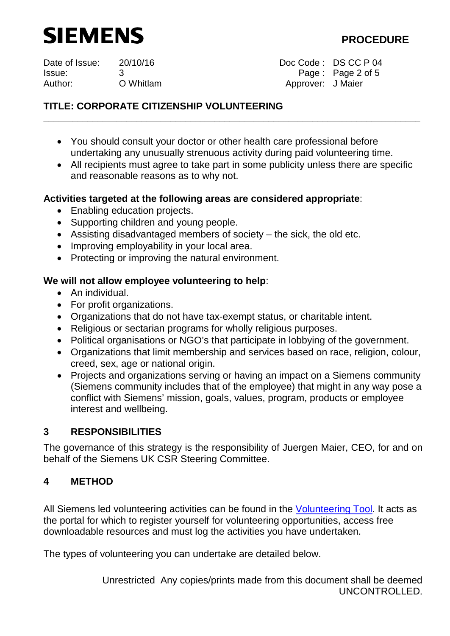

Date of Issue: 20/10/16 Doc Code : DS CC P 04 Issue: 3 Page : Page 2 of 5 Author: C Whitlam **Author:** O Whitlam Author: J Maier

# **TITLE: CORPORATE CITIZENSHIP VOLUNTEERING**

• You should consult your doctor or other health care professional before undertaking any unusually strenuous activity during paid volunteering time.

\_\_\_\_\_\_\_\_\_\_\_\_\_\_\_\_\_\_\_\_\_\_\_\_\_\_\_\_\_\_\_\_\_\_\_\_\_\_\_\_\_\_\_\_\_\_\_\_\_\_\_\_\_\_\_\_\_\_\_\_\_\_\_\_\_\_\_\_\_\_\_\_\_\_\_\_\_

• All recipients must agree to take part in some publicity unless there are specific and reasonable reasons as to why not.

## **Activities targeted at the following areas are considered appropriate**:

- Enabling education projects.
- Supporting children and young people.
- Assisting disadvantaged members of society the sick, the old etc.
- Improving employability in your local area.
- Protecting or improving the natural environment.

## **We will not allow employee volunteering to help**:

- An individual.
- For profit organizations.
- Organizations that do not have tax-exempt status, or charitable intent.
- Religious or sectarian programs for wholly religious purposes.
- Political organisations or NGO's that participate in lobbying of the government.
- Organizations that limit membership and services based on race, religion, colour, creed, sex, age or national origin.
- Projects and organizations serving or having an impact on a Siemens community (Siemens community includes that of the employee) that might in any way pose a conflict with Siemens' mission, goals, values, program, products or employee interest and wellbeing.

## **3 RESPONSIBILITIES**

The governance of this strategy is the responsibility of Juergen Maier, CEO, for and on behalf of the Siemens UK CSR Steering Committee.

## **4 METHOD**

All Siemens led volunteering activities can be found in the [Volunteering Tool.](https://apps.nwe.siemens.com/EngagementTool/) It acts as the portal for which to register yourself for volunteering opportunities, access free downloadable resources and must log the activities you have undertaken.

The types of volunteering you can undertake are detailed below.

Unrestricted Any copies/prints made from this document shall be deemed UNCONTROLLED.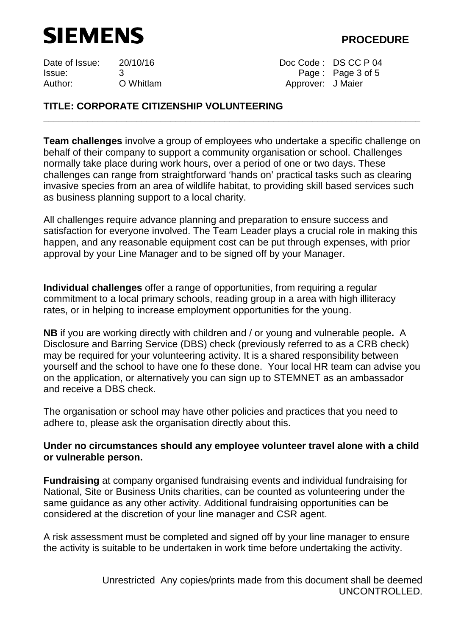

Issue: 3 Page : Page 3 of 5 Author: O Whitlam **Author:** O Whitlam Approver: J Maier

Date of Issue: 20/10/16 Doc Code : DS CC P 04

# **TITLE: CORPORATE CITIZENSHIP VOLUNTEERING**

**Team challenges** involve a group of employees who undertake a specific challenge on behalf of their company to support a community organisation or school. Challenges normally take place during work hours, over a period of one or two days. These challenges can range from straightforward 'hands on' practical tasks such as clearing invasive species from an area of wildlife habitat, to providing skill based services such as business planning support to a local charity.

\_\_\_\_\_\_\_\_\_\_\_\_\_\_\_\_\_\_\_\_\_\_\_\_\_\_\_\_\_\_\_\_\_\_\_\_\_\_\_\_\_\_\_\_\_\_\_\_\_\_\_\_\_\_\_\_\_\_\_\_\_\_\_\_\_\_\_\_\_\_\_\_\_\_\_\_\_

All challenges require advance planning and preparation to ensure success and satisfaction for everyone involved. The Team Leader plays a crucial role in making this happen, and any reasonable equipment cost can be put through expenses, with prior approval by your Line Manager and to be signed off by your Manager.

**Individual challenges** offer a range of opportunities, from requiring a regular commitment to a local primary schools, reading group in a area with high illiteracy rates, or in helping to increase employment opportunities for the young.

**NB** if you are working directly with children and / or young and vulnerable people**.** A Disclosure and Barring Service (DBS) check (previously referred to as a CRB check) may be required for your volunteering activity. It is a shared responsibility between yourself and the school to have one fo these done. Your local HR team can advise you on the application, or alternatively you can sign up to STEMNET as an ambassador and receive a DBS check.

The organisation or school may have other policies and practices that you need to adhere to, please ask the organisation directly about this.

## **Under no circumstances should any employee volunteer travel alone with a child or vulnerable person.**

**Fundraising** at company organised fundraising events and individual fundraising for National, Site or Business Units charities, can be counted as volunteering under the same guidance as any other activity. Additional fundraising opportunities can be considered at the discretion of your line manager and CSR agent.

A risk assessment must be completed and signed off by your line manager to ensure the activity is suitable to be undertaken in work time before undertaking the activity.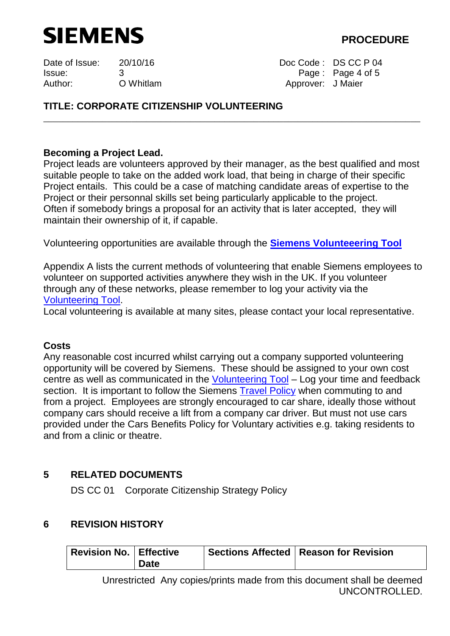# SIEMENS **SIEMENS**

Date of Issue: 20/10/16 Doc Code : DS CC P 04 Issue: 3 Page : Page 4 of 5 Author: O Whitlam **Author:** O Whitlam Approver: J Maier

# **TITLE: CORPORATE CITIZENSHIP VOLUNTEERING**

## **Becoming a Project Lead.**

Project leads are volunteers approved by their manager, as the best qualified and most suitable people to take on the added work load, that being in charge of their specific Project entails. This could be a case of matching candidate areas of expertise to the Project or their personnal skills set being particularly applicable to the project. Often if somebody brings a proposal for an activity that is later accepted, they will maintain their ownership of it, if capable.

\_\_\_\_\_\_\_\_\_\_\_\_\_\_\_\_\_\_\_\_\_\_\_\_\_\_\_\_\_\_\_\_\_\_\_\_\_\_\_\_\_\_\_\_\_\_\_\_\_\_\_\_\_\_\_\_\_\_\_\_\_\_\_\_\_\_\_\_\_\_\_\_\_\_\_\_\_

Volunteering opportunities are available through the **[Siemens Volunteeering Tool](https://apps.nwe.siemens.com/EngagementTool/#/ActivitiesMap)**

Appendix A lists the current methods of volunteering that enable Siemens employees to volunteer on supported activities anywhere they wish in the UK. If you volunteer through any of these networks, please remember to log your activity via the [Volunteering Tool.](https://apps.nwe.siemens.com/EngagementTool/#/ProjectsList)

Local volunteering is available at many sites, please contact your local representative.

## **Costs**

Any reasonable cost incurred whilst carrying out a company supported volunteering opportunity will be covered by Siemens. These should be assigned to your own cost centre as well as communicated in the [Volunteering Tool](https://apps.nwe.siemens.com/EngagementTool/) – Log your time and feedback section. It is important to follow the Siemens **Travel Policy** when commuting to and from a project. Employees are strongly encouraged to car share, ideally those without company cars should receive a lift from a company car driver. But must not use cars provided under the Cars Benefits Policy for Voluntary activities e.g. taking residents to and from a clinic or theatre.

## **5 RELATED DOCUMENTS**

DS CC 01 Corporate Citizenship Strategy Policy

## **6 REVISION HISTORY**

| Revision No.   Effective |             | Sections Affected   Reason for Revision |
|--------------------------|-------------|-----------------------------------------|
|                          | <b>Date</b> |                                         |

Unrestricted Any copies/prints made from this document shall be deemed UNCONTROLLED.